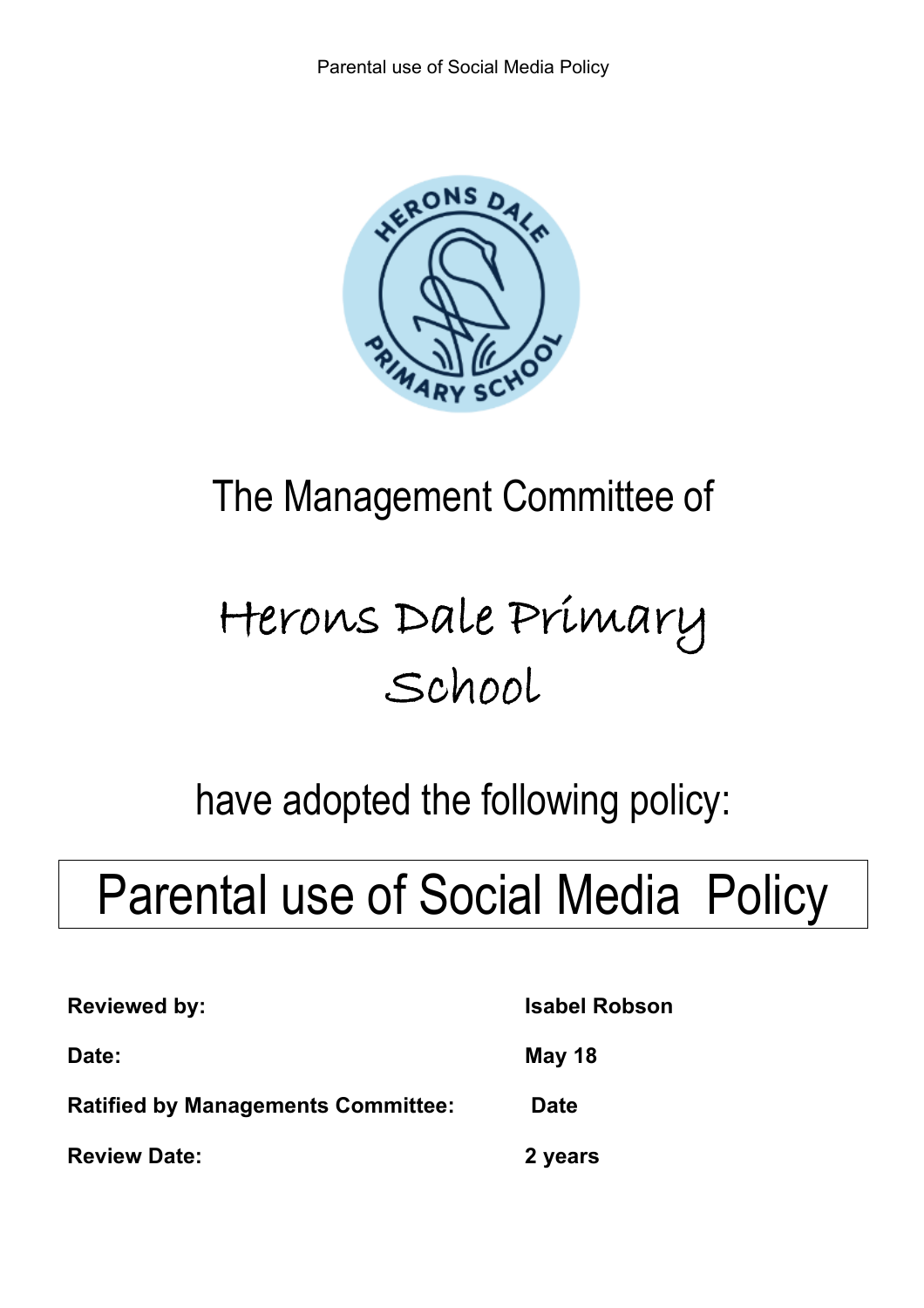

# The Management Committee of

# Herons Dale Primary School

## have adopted the following policy:

# Parental use of Social Media Policy

| <b>Reviewed by:</b>                | <b>Isabel Robson</b> |
|------------------------------------|----------------------|
| <b>Date:</b>                       | May 18               |
| Ratified by Managements Committee: | <b>Date</b>          |
| <b>Review Date:</b>                | 2 years              |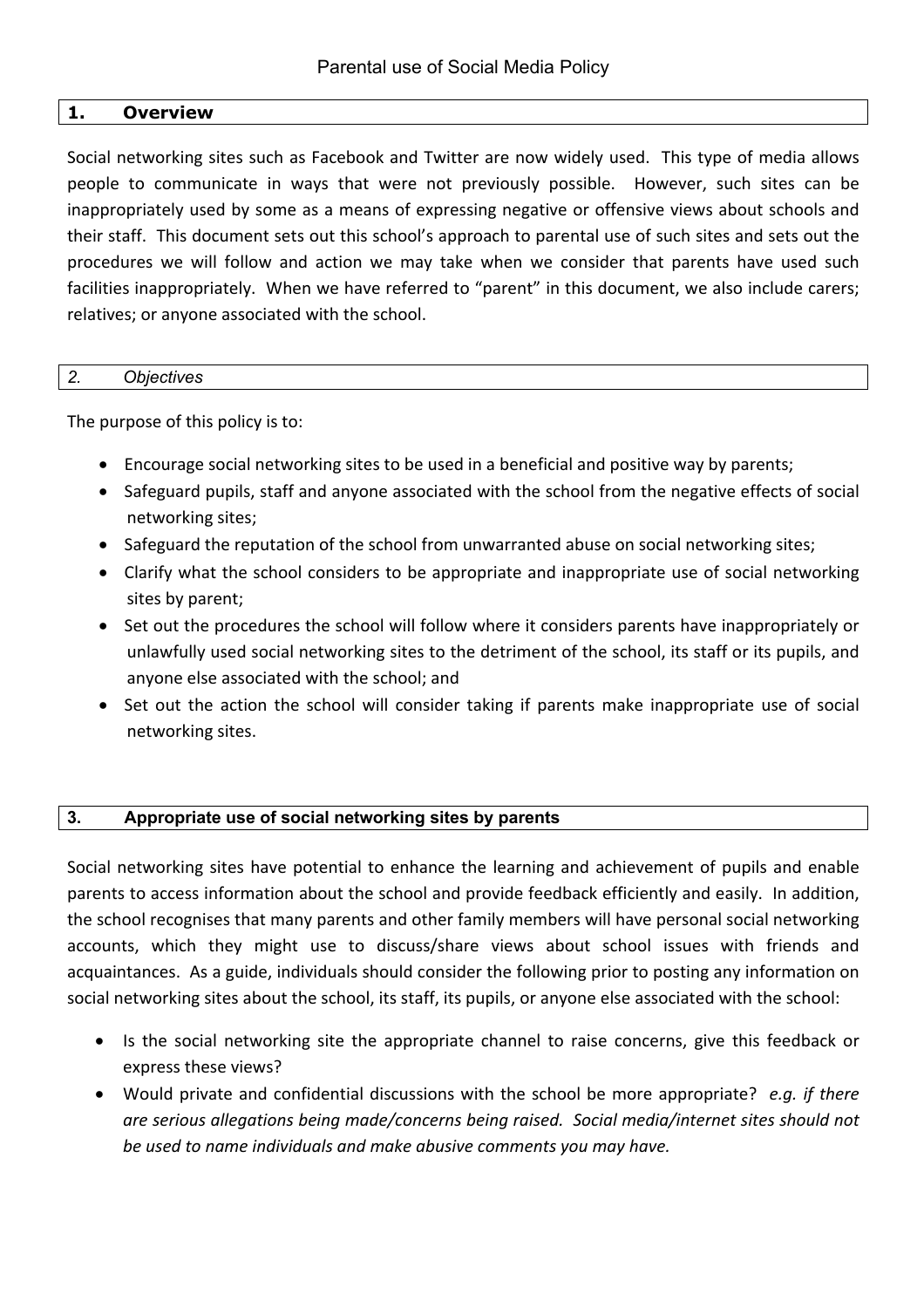#### **1. Overview**

Social networking sites such as Facebook and Twitter are now widely used. This type of media allows people to communicate in ways that were not previously possible. However, such sites can be inappropriately used by some as a means of expressing negative or offensive views about schools and their staff. This document sets out this school's approach to parental use of such sites and sets out the procedures we will follow and action we may take when we consider that parents have used such facilities inappropriately. When we have referred to "parent" in this document, we also include carers; relatives; or anyone associated with the school.

#### *2. Objectives*

The purpose of this policy is to:

- Encourage social networking sites to be used in a beneficial and positive way by parents;
- Safeguard pupils, staff and anyone associated with the school from the negative effects of social networking sites;
- Safeguard the reputation of the school from unwarranted abuse on social networking sites;
- Clarify what the school considers to be appropriate and inappropriate use of social networking sites by parent;
- Set out the procedures the school will follow where it considers parents have inappropriately or unlawfully used social networking sites to the detriment of the school, its staff or its pupils, and anyone else associated with the school; and
- Set out the action the school will consider taking if parents make inappropriate use of social networking sites.

#### **3. Appropriate use of social networking sites by parents**

Social networking sites have potential to enhance the learning and achievement of pupils and enable parents to access information about the school and provide feedback efficiently and easily. In addition, the school recognises that many parents and other family members will have personal social networking accounts, which they might use to discuss/share views about school issues with friends and acquaintances. As a guide, individuals should consider the following prior to posting any information on social networking sites about the school, its staff, its pupils, or anyone else associated with the school:

- Is the social networking site the appropriate channel to raise concerns, give this feedback or express these views?
- Would private and confidential discussions with the school be more appropriate? *e.g. if there are serious allegations being made/concerns being raised. Social media/internet sites should not be used to name individuals and make abusive comments you may have.*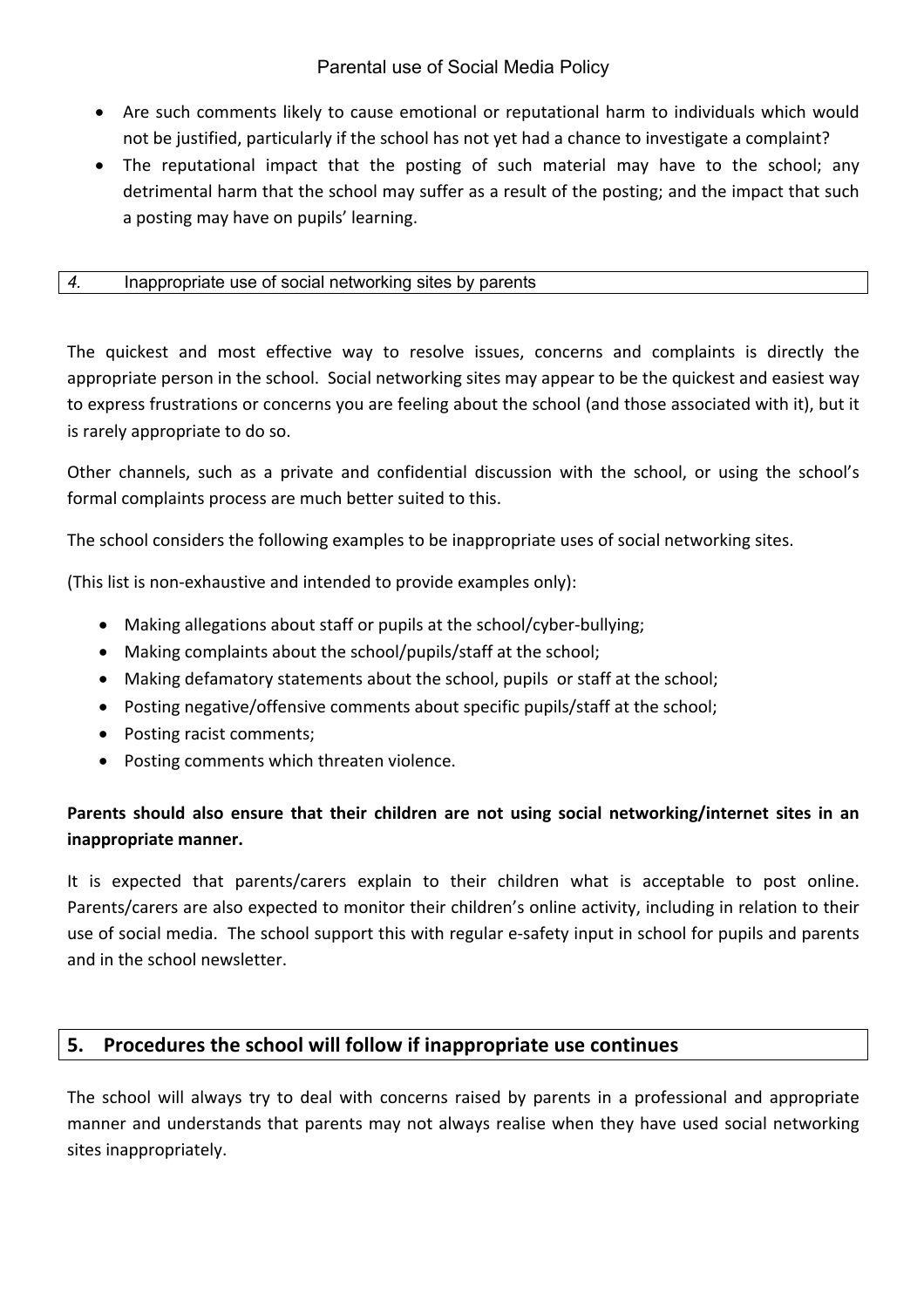- Are such comments likely to cause emotional or reputational harm to individuals which would not be justified, particularly if the school has not yet had a chance to investigate a complaint?
- The reputational impact that the posting of such material may have to the school; any detrimental harm that the school may suffer as a result of the posting; and the impact that such a posting may have on pupils' learning.

#### *4.* Inappropriate use of social networking sites by parents

The quickest and most effective way to resolve issues, concerns and complaints is directly the appropriate person in the school. Social networking sites may appear to be the quickest and easiest way to express frustrations or concerns you are feeling about the school (and those associated with it), but it is rarely appropriate to do so.

Other channels, such as a private and confidential discussion with the school, or using the school's formal complaints process are much better suited to this.

The school considers the following examples to be inappropriate uses of social networking sites.

(This list is non-exhaustive and intended to provide examples only):

- Making allegations about staff or pupils at the school/cyber-bullying;
- Making complaints about the school/pupils/staff at the school;
- Making defamatory statements about the school, pupils or staff at the school;
- Posting negative/offensive comments about specific pupils/staff at the school;
- Posting racist comments;
- Posting comments which threaten violence.

## **Parents should also ensure that their children are not using social networking/internet sites in an inappropriate manner.**

It is expected that parents/carers explain to their children what is acceptable to post online. Parents/carers are also expected to monitor their children's online activity, including in relation to their use of social media. The school support this with regular e-safety input in school for pupils and parents and in the school newsletter.

### **5. Procedures the school will follow if inappropriate use continues**

The school will always try to deal with concerns raised by parents in a professional and appropriate manner and understands that parents may not always realise when they have used social networking sites inappropriately.